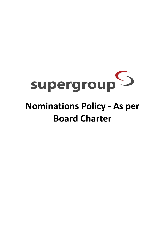

## **Nominations Policy - As per Board Charter**